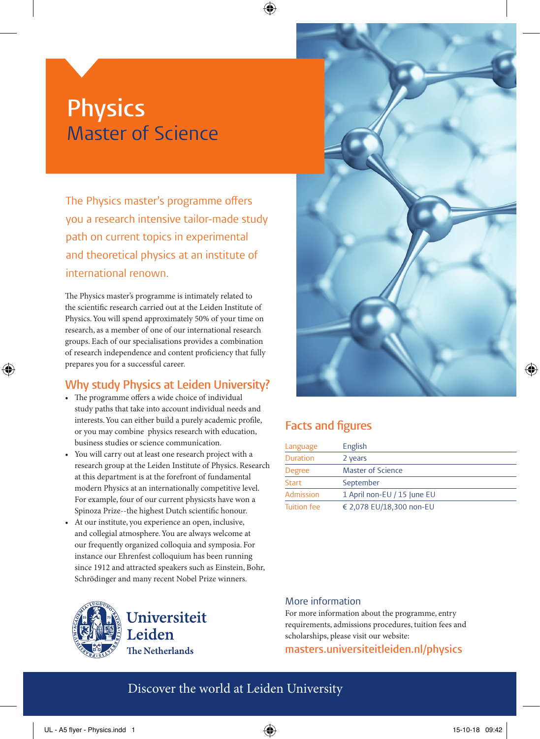# **Physics** Master of Science

The Physics master's programme offers you a research intensive tailor-made study path on current topics in experimental and theoretical physics at an institute of international renown.

The Physics master's programme is intimately related to the scientific research carried out at the Leiden Institute of Physics. You will spend approximately 50% of your time on research, as a member of one of our international research groups. Each of our specialisations provides a combination of research independence and content proficiency that fully prepares you for a successful career.

# **Why study Physics at Leiden University?**

- The programme offers a wide choice of individual study paths that take into account individual needs and interests. You can either build a purely academic profile, or you may combine physics research with education, business studies or science communication.
- You will carry out at least one research project with a research group at the Leiden Institute of Physics. Research at this department is at the forefront of fundamental modern Physics at an internationally competitive level. For example, four of our current physicsts have won a Spinoza Prize--the highest Dutch scientific honour.
- At our institute, you experience an open, inclusive, and collegial atmosphere. You are always welcome at our frequently organized colloquia and symposia. For instance our Ehrenfest colloquium has been running since 1912 and attracted speakers such as Einstein, Bohr, Schrödinger and many recent Nobel Prize winners.





# **Facts and figures**

⊕

| Language           | English                     |
|--------------------|-----------------------------|
| <b>Duration</b>    | 2 years                     |
| Degree             | <b>Master of Science</b>    |
| Start              | September                   |
| Admission          | 1 April non-EU / 15 June EU |
| <b>Tuition fee</b> | € 2,078 EU/18,300 non-EU    |

### More information

For more information about the programme, entry requirements, admissions procedures, tuition fees and scholarships, please visit our website:

## **masters.universiteitleiden.nl/physics**

# Discover the world at Leiden University

⊕